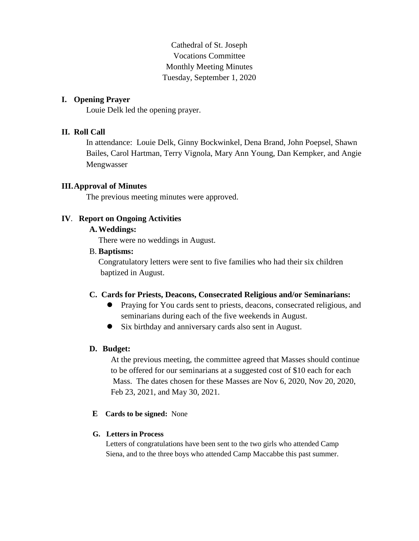Cathedral of St. Joseph Vocations Committee Monthly Meeting Minutes Tuesday, September 1, 2020

# **I. Opening Prayer**

Louie Delk led the opening prayer.

# **II. Roll Call**

In attendance: Louie Delk, Ginny Bockwinkel, Dena Brand, John Poepsel, Shawn Bailes, Carol Hartman, Terry Vignola, Mary Ann Young, Dan Kempker, and Angie Mengwasser

# **III.Approval of Minutes**

The previous meeting minutes were approved.

## **IV**. **Report on Ongoing Activities**

## **A.Weddings:**

There were no weddings in August.

#### B. **Baptisms:**

Congratulatory letters were sent to five families who had their six children baptized in August.

## **C. Cards for Priests, Deacons, Consecrated Religious and/or Seminarians:**

- Praying for You cards sent to priests, deacons, consecrated religious, and seminarians during each of the five weekends in August.
- Six birthday and anniversary cards also sent in August.

## **D. Budget:**

At the previous meeting, the committee agreed that Masses should continue to be offered for our seminarians at a suggested cost of \$10 each for each Mass. The dates chosen for these Masses are Nov 6, 2020, Nov 20, 2020, Feb 23, 2021, and May 30, 2021.

**E Cards to be signed:** None

## **G. Letters in Process**

Letters of congratulations have been sent to the two girls who attended Camp Siena, and to the three boys who attended Camp Maccabbe this past summer.